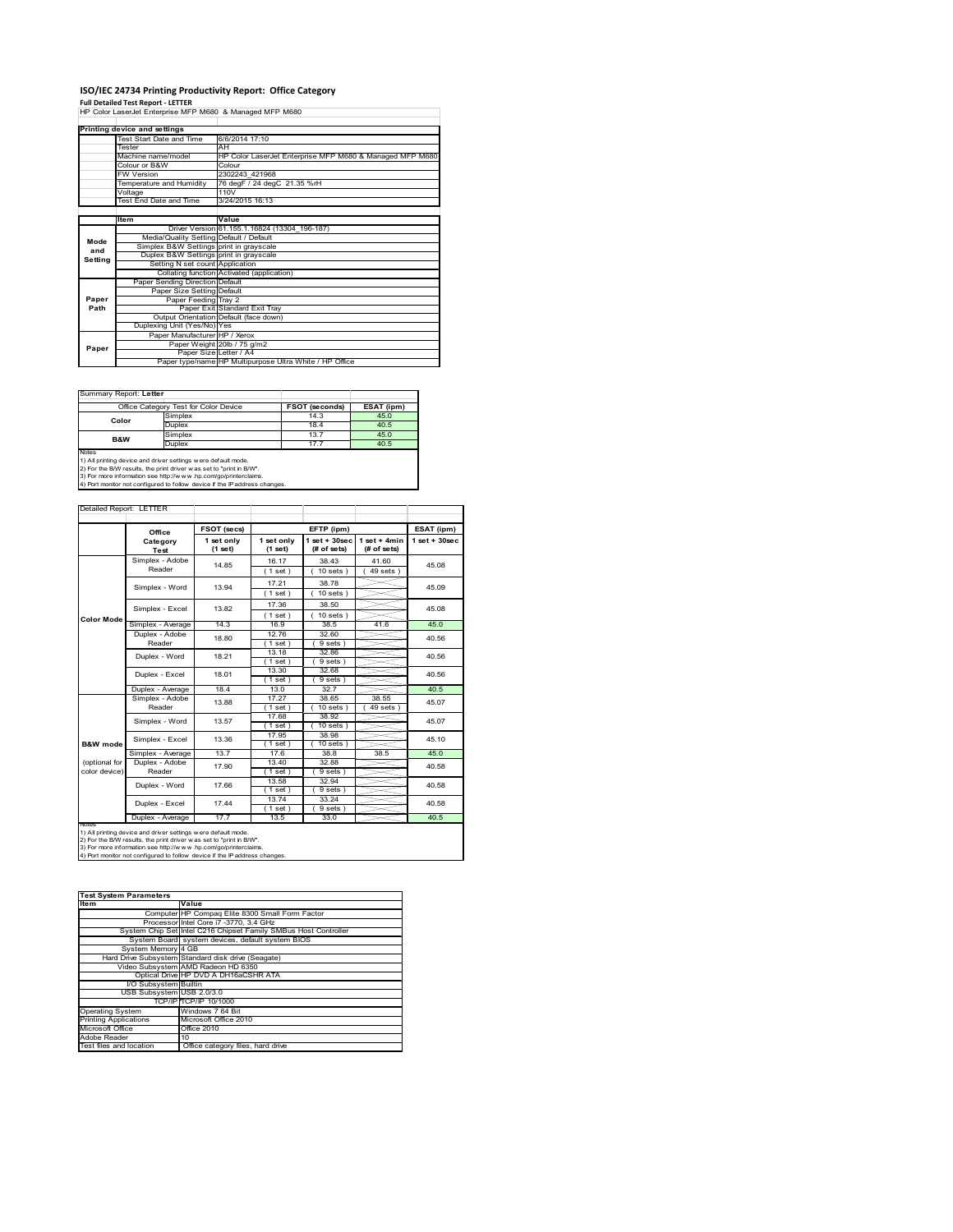# **ISO/IEC 24734 Printing Productivity Report: Office Category Full Detailed Test Report ‐ LETTER** HP Color LaserJet Enterprise MFP M680 & Managed MFP M680

|         | Printing device and settings            |                                                                                            |  |  |  |
|---------|-----------------------------------------|--------------------------------------------------------------------------------------------|--|--|--|
|         | Test Start Date and Time                | 6/6/2014 17:10                                                                             |  |  |  |
|         | Tester                                  | AH<br>HP Color LaserJet Enterprise MFP M680 & Managed MFP M680<br>Colour<br>2302243 421968 |  |  |  |
|         | Machine name/model                      |                                                                                            |  |  |  |
|         | Colour or B&W                           |                                                                                            |  |  |  |
|         | <b>FW Version</b>                       |                                                                                            |  |  |  |
|         | Temperature and Humidity                | 76 degF / 24 degC 21.35 %rH                                                                |  |  |  |
|         | Voltage                                 | 110V                                                                                       |  |  |  |
|         | Test End Date and Time                  | 3/24/2015 16:13                                                                            |  |  |  |
|         |                                         |                                                                                            |  |  |  |
|         | <b>Item</b>                             | Value                                                                                      |  |  |  |
|         |                                         | Driver Version 61.155.1.16824 (13304 196-187)                                              |  |  |  |
| Mode    | Media/Quality Setting Default / Default |                                                                                            |  |  |  |
| and     | Simplex B&W Settings print in grayscale |                                                                                            |  |  |  |
| Setting | Duplex B&W Settings print in grayscale  |                                                                                            |  |  |  |
|         | Setting N set count Application         |                                                                                            |  |  |  |
|         |                                         | Collating function Activated (application)                                                 |  |  |  |
|         | Paper Sending Direction Default         |                                                                                            |  |  |  |
|         | Paper Size Setting Default              |                                                                                            |  |  |  |
| Paper   | Paper Feeding Tray 2                    |                                                                                            |  |  |  |
| Path    |                                         | Paper Exit Standard Exit Tray                                                              |  |  |  |
|         |                                         | Output Orientation Default (face down)                                                     |  |  |  |
|         | Duplexing Unit (Yes/No) Yes             |                                                                                            |  |  |  |
|         | Paper Manufacturer HP / Xerox           |                                                                                            |  |  |  |
| Paper   |                                         | Paper Weight 20lb / 75 g/m2                                                                |  |  |  |
|         |                                         | Paper Size Letter / A4                                                                     |  |  |  |
|         |                                         | Paper type/name HP Multipurpose Ultra White / HP Office                                    |  |  |  |

Summary Report: **Letter**

| <u> Juliului I lodolli Evilyi</u> |                                       |                       |            |
|-----------------------------------|---------------------------------------|-----------------------|------------|
|                                   | Office Category Test for Color Device | <b>FSOT (seconds)</b> | ESAT (ipm) |
| Color                             | Simplex                               | 14.3                  | 45.0       |
|                                   | Duplex                                | 18.4                  | 40.5       |
| <b>B&amp;W</b>                    | Simplex                               | 13.7                  | 45.0       |
|                                   | Duplex                                | 17.7                  | 40.5       |
| Notes                             |                                       |                       |            |

Notes<br>1) All printing device and driver settings were default mode.<br>2) For the B/W results, the print driver was set to "print in B/W".<br>3) For more information see http://www.vhp.com/go/printerclaims.<br>4) Por more informati

Detailed Report: LETTER

|                   | Office                                                                                                                                                                                                                                                                                                 | FSOT (secs)           |                         | EFTP (ipm)                     |                               | ESAT (ipm)        |
|-------------------|--------------------------------------------------------------------------------------------------------------------------------------------------------------------------------------------------------------------------------------------------------------------------------------------------------|-----------------------|-------------------------|--------------------------------|-------------------------------|-------------------|
|                   | Category<br>Test                                                                                                                                                                                                                                                                                       | 1 set only<br>(1 set) | 1 set only<br>$(1$ set) | $1$ set + 30sec<br>(# of sets) | $1$ set + 4min<br>(# of sets) | $1$ set $+30$ sec |
|                   | Simplex - Adobe<br>Reader                                                                                                                                                                                                                                                                              | 14.85                 | 16.17                   | 38.43                          | 41.60<br>$49$ sets $)$        | 45.08             |
|                   |                                                                                                                                                                                                                                                                                                        |                       | (1 set)                 | $10$ sets $)$                  |                               |                   |
|                   | Simplex - Word                                                                                                                                                                                                                                                                                         | 13.94                 | 17.21                   | 38.78                          |                               | 45.09             |
|                   |                                                                                                                                                                                                                                                                                                        |                       | (1 set)                 | $10$ sets $)$                  |                               |                   |
|                   | Simplex - Excel                                                                                                                                                                                                                                                                                        | 13.82                 | 17.36                   | 38.50                          |                               | 45.08             |
| <b>Color Mode</b> |                                                                                                                                                                                                                                                                                                        |                       | (1 set)                 | $10$ sets $)$                  |                               |                   |
|                   | Simplex - Average                                                                                                                                                                                                                                                                                      | 14.3                  | 16.9                    | 38.5                           | 41.6                          | 45.0              |
|                   | Duplex - Adobe                                                                                                                                                                                                                                                                                         | 18.80                 | 12.76                   | 32.60                          |                               | 40.56             |
|                   | Reader                                                                                                                                                                                                                                                                                                 |                       | (1 set)                 | $9 sets$ )                     |                               |                   |
|                   | Duplex - Word                                                                                                                                                                                                                                                                                          | 18.21                 | 13.18                   | 32.86                          |                               | 40.56             |
|                   |                                                                                                                                                                                                                                                                                                        |                       | (1 set)                 | $9 sets$ )                     |                               |                   |
|                   | Duplex - Excel                                                                                                                                                                                                                                                                                         | 18.01                 | 13.30                   | 32.68                          |                               | 40.56             |
|                   |                                                                                                                                                                                                                                                                                                        |                       | 1 set                   | 9 sets)                        |                               |                   |
|                   | Duplex - Average                                                                                                                                                                                                                                                                                       | 18.4                  | 13.0                    | 32.7                           |                               | 40.5              |
|                   | Simplex - Adobe                                                                                                                                                                                                                                                                                        | 13.88                 | 17.27                   | 38.65                          | 38.55                         | 45.07             |
|                   | Reader                                                                                                                                                                                                                                                                                                 |                       | 1 set                   | 10 sets                        | 49 sets                       |                   |
|                   | Simplex - Word                                                                                                                                                                                                                                                                                         | 13.57                 | 17.68                   | 38.92                          |                               | 45.07             |
|                   |                                                                                                                                                                                                                                                                                                        |                       | $1$ set)                | $10$ sets $)$                  |                               |                   |
|                   | Simplex - Excel                                                                                                                                                                                                                                                                                        | 13.36                 | 17.95                   | 38.98                          |                               | 45.10             |
| B&W mode          |                                                                                                                                                                                                                                                                                                        |                       | $1$ set                 | 10 sets                        |                               |                   |
|                   | Simplex - Average                                                                                                                                                                                                                                                                                      | 13.7                  | 17.6                    | 38.8                           | 38.5                          | 45.0              |
| (optional for     | Duplex - Adobe                                                                                                                                                                                                                                                                                         | 17.90                 | 13.40                   | 32.88                          |                               | 40.58             |
| color device)     | Reader                                                                                                                                                                                                                                                                                                 |                       | 1 set                   | 9 sets)                        |                               |                   |
|                   | Duplex - Word                                                                                                                                                                                                                                                                                          | 17.66                 | 13.58                   | 32.94                          |                               | 40.58             |
|                   |                                                                                                                                                                                                                                                                                                        |                       | $1$ set                 | 9 sets )                       |                               |                   |
|                   | Duplex - Excel                                                                                                                                                                                                                                                                                         | 17.44                 | 13.74                   | 33.24                          |                               | 40.58             |
|                   |                                                                                                                                                                                                                                                                                                        |                       | $1$ set                 | 9 sets)                        |                               |                   |
|                   | Duplex - Average                                                                                                                                                                                                                                                                                       | 17.7                  | 13.5                    | 33.0                           |                               | 40.5              |
|                   | <b>NOTAS</b><br>1) All printing device and driver settings w ere default mode.<br>2) For the B/W results, the print driver was set to "print in B/W".<br>3) For more information see http://www.hp.com/go/printerclaims.<br>4) Port monitor not configured to follow device if the IP address changes. |                       |                         |                                |                               |                   |

| <b>Test System Parameters</b> |                                                                 |  |  |  |
|-------------------------------|-----------------------------------------------------------------|--|--|--|
| Item                          | Value                                                           |  |  |  |
|                               | Computer HP Compaq Elite 8300 Small Form Factor                 |  |  |  |
|                               | Processor Intel Core i7 -3770, 3.4 GHz                          |  |  |  |
|                               | System Chip Set Intel C216 Chipset Family SMBus Host Controller |  |  |  |
|                               | System Board system devices, default system BIOS                |  |  |  |
| System Memory 4 GB            |                                                                 |  |  |  |
|                               | Hard Drive Subsystem Standard disk drive (Seagate)              |  |  |  |
|                               | Video Subsystem AMD Radeon HD 6350                              |  |  |  |
|                               | Optical Drive HP DVD A DH16aCSHR ATA                            |  |  |  |
| I/O Subsystem Builtin         |                                                                 |  |  |  |
| USB Subsystem USB 2.0/3.0     |                                                                 |  |  |  |
|                               | TCP/IP TCP/IP 10/1000                                           |  |  |  |
| <b>Operating System</b>       | Windows 7 64 Bit                                                |  |  |  |
| <b>Printing Applications</b>  | Microsoft Office 2010                                           |  |  |  |
| Microsoft Office              | Office 2010                                                     |  |  |  |
| Adobe Reader                  | 10                                                              |  |  |  |
| Test files and location       | Office category files, hard drive                               |  |  |  |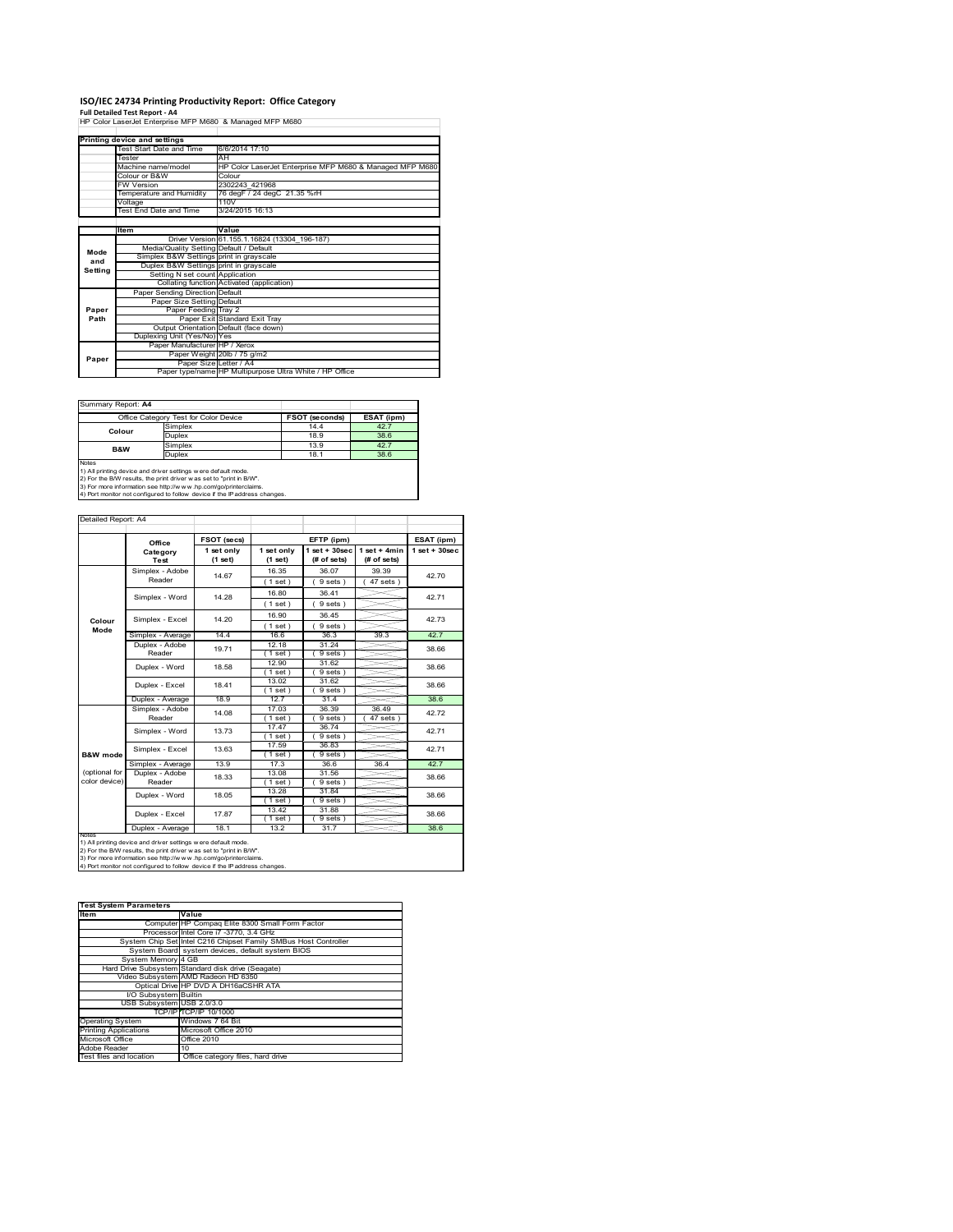# **ISO/IEC 24734 Printing Productivity Report: Office Category Full Detailed Test Report ‐ A4** HP Color LaserJet Enterprise MFP M680 & Managed MFP M680

|         | Printing device and settings            |                                                          |  |  |  |
|---------|-----------------------------------------|----------------------------------------------------------|--|--|--|
|         | Test Start Date and Time                | 6/6/2014 17:10                                           |  |  |  |
|         | Tester                                  | AH                                                       |  |  |  |
|         | Machine name/model                      | HP Color LaserJet Enterprise MFP M680 & Managed MFP M680 |  |  |  |
|         | Colour or B&W                           | Colour                                                   |  |  |  |
|         | <b>FW Version</b>                       | 2302243 421968                                           |  |  |  |
|         | Temperature and Humidity                | 76 degF / 24 degC 21.35 %rH                              |  |  |  |
|         | Voltage                                 | 110V                                                     |  |  |  |
|         | Test End Date and Time                  | 3/24/2015 16:13                                          |  |  |  |
|         |                                         |                                                          |  |  |  |
|         | Item                                    | Value                                                    |  |  |  |
|         |                                         | Driver Version 61.155.1.16824 (13304 196-187)            |  |  |  |
| Mode    | Media/Quality Setting Default / Default |                                                          |  |  |  |
| and     | Simplex B&W Settings print in grayscale |                                                          |  |  |  |
| Setting | Duplex B&W Settings print in grayscale  |                                                          |  |  |  |
|         | Setting N set count Application         |                                                          |  |  |  |
|         |                                         | Collating function Activated (application)               |  |  |  |
|         | Paper Sending Direction Default         |                                                          |  |  |  |
|         | Paper Size Setting Default              |                                                          |  |  |  |
| Paper   | Paper Feeding Tray 2                    |                                                          |  |  |  |
| Path    |                                         | Paper Exit Standard Exit Tray                            |  |  |  |
|         |                                         | Output Orientation Default (face down)                   |  |  |  |
|         | Duplexing Unit (Yes/No) Yes             |                                                          |  |  |  |
|         | Paper Manufacturer HP / Xerox           |                                                          |  |  |  |
| Paper   |                                         | Paper Weight 20lb / 75 g/m2                              |  |  |  |
|         |                                         | Paper Size Letter / A4                                   |  |  |  |
|         |                                         | Paper type/name HP Multipurpose Ultra White / HP Office  |  |  |  |

Summary Report: **A4**

|                                                                     | Office Category Test for Color Device                                      | <b>FSOT (seconds)</b> | ESAT (ipm) |  |  |  |
|---------------------------------------------------------------------|----------------------------------------------------------------------------|-----------------------|------------|--|--|--|
| Colour                                                              | Simplex                                                                    | 14.4                  | 42.7       |  |  |  |
|                                                                     | Duplex                                                                     | 18.9                  | 38.6       |  |  |  |
| <b>B&amp;W</b>                                                      | Simplex                                                                    | 13.9                  | 42.7       |  |  |  |
|                                                                     | Duplex                                                                     | 18.1                  | 38.6       |  |  |  |
| Notes                                                               |                                                                            |                       |            |  |  |  |
|                                                                     | 1) All printing device and driver settings w ere default mode.             |                       |            |  |  |  |
| 2) For the B/W results, the print driver was set to "print in B/W". |                                                                            |                       |            |  |  |  |
|                                                                     | 3) For more information see http://www.hp.com/go/printerclaims.            |                       |            |  |  |  |
|                                                                     | 4) Port monitor not configured to follow device if the IP address changes. |                       |            |  |  |  |

|               |                                             |                       |                       |                                   |                               | ESAT (ipm)        |  |
|---------------|---------------------------------------------|-----------------------|-----------------------|-----------------------------------|-------------------------------|-------------------|--|
|               | Office                                      | FSOT (secs)           |                       | EFTP (ipm)                        |                               |                   |  |
|               | Category<br>Test                            | 1 set only<br>(1 set) | 1 set only<br>(1 set) | $1$ set + $30$ sec<br>(# of sets) | $1$ set + 4min<br>(# of sets) | $1$ set $+30$ sec |  |
|               | Simplex - Adobe<br>Reader                   | 14.67                 | 16.35                 | 36.07                             | 39.39                         | 42.70             |  |
|               |                                             |                       | (1 set)               | 9 sets                            | $47$ sets $)$                 |                   |  |
|               | Simplex - Word                              | 14.28                 | 16.80                 | 36.41                             |                               | 42.71             |  |
|               |                                             |                       | (1 set)               | 9 sets)                           |                               |                   |  |
|               |                                             |                       | 16.90                 | 36.45                             |                               |                   |  |
| Colour        | Simplex - Excel                             | 14.20                 | (1 set)               | 9 sets                            |                               | 42.73             |  |
| Mode          | Simplex - Average                           | 14.4                  | 16.6                  | 36.3                              | 39.3                          | 42.7              |  |
|               | Duplex - Adobe                              | 19.71                 | 12.18                 | 31.24                             |                               | 38.66             |  |
|               | Reader                                      |                       | (1 set)               | $9 sets$ )                        |                               |                   |  |
|               | Duplex - Word                               | 18.58                 | 12.90                 | 31.62                             |                               | 38.66             |  |
|               |                                             |                       | (1 set )              | $9 sets$ )                        |                               |                   |  |
|               | Duplex - Excel                              | 18.41                 | 13.02                 | 31.62                             |                               | 38.66             |  |
|               |                                             |                       | $1$ set)              | 9 sets                            |                               |                   |  |
|               | Duplex - Average                            | 18.9                  | 12.7                  | 31.4                              |                               | 38.6              |  |
|               | Simplex - Adobe<br>Reader<br>Simplex - Word | 14.08                 | 17.03                 | 36.39                             | 36.49                         | 42.72             |  |
|               |                                             |                       | $1$ set $)$           | 9 sets)                           | $47$ sets $)$                 |                   |  |
|               |                                             | 13.73                 | 17.47                 | 36.74                             |                               | 42.71             |  |
|               |                                             |                       | $1$ set)              | 9 sets)                           |                               |                   |  |
|               | Simplex - Excel                             | 13.63                 | 17.59                 | 36.83                             |                               | 42.71             |  |
| B&W mode      |                                             |                       | $1$ set)              | 9 sets 1                          |                               |                   |  |
|               | Simplex - Average                           | 13.9                  | 17.3                  | 36.6                              | 36.4                          | 42.7              |  |
| (optional for | Duplex - Adobe                              | 18.33                 | 13.08                 | 31.56                             |                               | 38.66             |  |
| color device) | Reader                                      |                       | $1$ set)              | 9 sets)                           |                               |                   |  |
|               | Duplex - Word                               | 18.05                 | 13.28                 | 31.84                             |                               | 38.66             |  |
|               |                                             |                       | $1$ set               | 9 sets)                           |                               |                   |  |
|               | Duplex - Excel                              | 17.87                 | 13.42<br>$1$ set $)$  | 31.88<br>9 sets                   |                               | 38.66             |  |
|               | Duplex - Average                            | 18.1                  | 13.2                  | 31.7                              |                               | 386               |  |
| <b>NOtes</b>  |                                             |                       |                       |                                   |                               |                   |  |

| <b>Test System Parameters</b> |                                                                 |  |  |  |
|-------------------------------|-----------------------------------------------------------------|--|--|--|
| Item                          | Value                                                           |  |  |  |
|                               | Computer HP Compaq Elite 8300 Small Form Factor                 |  |  |  |
|                               | Processor Intel Core i7 -3770, 3.4 GHz                          |  |  |  |
|                               | System Chip Set Intel C216 Chipset Family SMBus Host Controller |  |  |  |
|                               | System Board system devices, default system BIOS                |  |  |  |
| System Memory 4 GB            |                                                                 |  |  |  |
|                               | Hard Drive Subsystem Standard disk drive (Seagate)              |  |  |  |
|                               | Video Subsystem AMD Radeon HD 6350                              |  |  |  |
|                               | Optical Drive HP DVD A DH16aCSHR ATA                            |  |  |  |
| I/O Subsystem Builtin         |                                                                 |  |  |  |
| USB Subsystem USB 2.0/3.0     |                                                                 |  |  |  |
|                               | TCP/IPTCP/IP 10/1000                                            |  |  |  |
| <b>Operating System</b>       | Windows 7 64 Bit                                                |  |  |  |
| <b>Printing Applications</b>  | Microsoft Office 2010                                           |  |  |  |
| Microsoft Office              | Office 2010                                                     |  |  |  |
| Adobe Reader                  | 10                                                              |  |  |  |
| Test files and location       | Office category files, hard drive                               |  |  |  |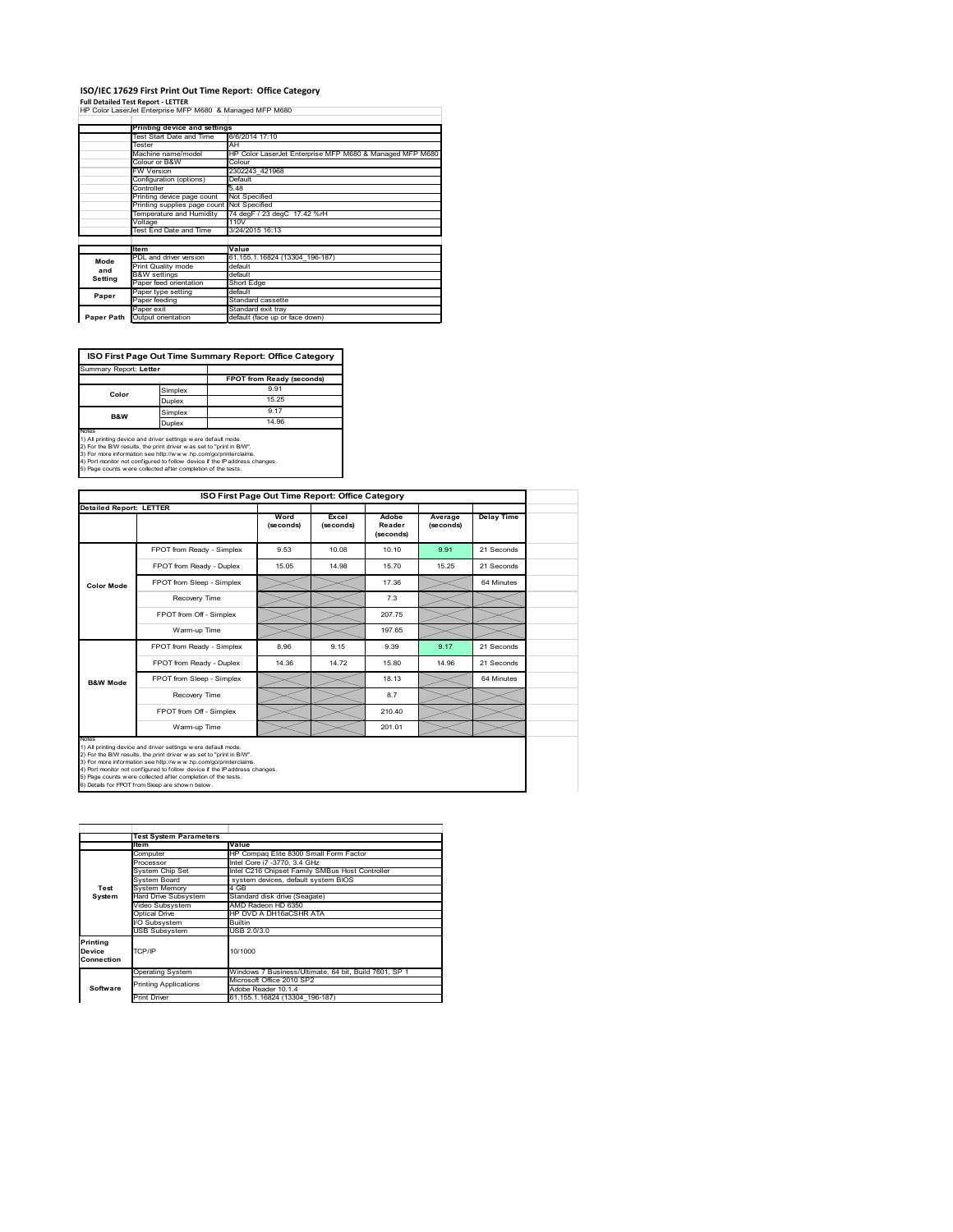#### **ISO/IEC 17629 First Print Out Time Report: Office Category**

**Full Detailed Test Report ‐ LETTER** HP Color LaserJet Enterprise MFP M680 & Managed MFP M680

|                                     | Printing device and settings               |                                                          |  |  |  |  |
|-------------------------------------|--------------------------------------------|----------------------------------------------------------|--|--|--|--|
|                                     | Test Start Date and Time                   | 6/6/2014 17:10                                           |  |  |  |  |
|                                     | Tester                                     | AH                                                       |  |  |  |  |
|                                     | Machine name/model                         | HP Color LaserJet Enterprise MFP M680 & Managed MFP M680 |  |  |  |  |
|                                     | Colour or B&W                              | Colour                                                   |  |  |  |  |
|                                     | <b>FW Version</b>                          | 2302243 421968                                           |  |  |  |  |
|                                     | Configuration (options)                    | Default                                                  |  |  |  |  |
| Controller                          |                                            | 5.48                                                     |  |  |  |  |
|                                     | Printing device page count                 | Not Specified                                            |  |  |  |  |
|                                     | Printing supplies page count Not Specified |                                                          |  |  |  |  |
| Temperature and Humidity<br>Voltage |                                            | 74 degF / 23 degC 17.42 %rH                              |  |  |  |  |
|                                     |                                            | 110V                                                     |  |  |  |  |
|                                     | Test End Date and Time                     | 3/24/2015 16:13                                          |  |  |  |  |
|                                     |                                            |                                                          |  |  |  |  |
|                                     | Item                                       | Value                                                    |  |  |  |  |
| Mode                                | PDL and driver version                     | 61.155.1.16824 (13304 196-187)                           |  |  |  |  |
| and                                 | Print Quality mode                         | default                                                  |  |  |  |  |
| Setting                             | <b>B&amp;W</b> settings                    | default                                                  |  |  |  |  |
|                                     | Paper feed orientation                     | Short Edge                                               |  |  |  |  |
| Paper                               | Paper type setting                         | default                                                  |  |  |  |  |
|                                     | Paper feeding                              | Standard cassette                                        |  |  |  |  |
|                                     | Paper exit                                 | Standard exit tray                                       |  |  |  |  |
| Paper Path                          | Output orientation                         | default (face up or face down)                           |  |  |  |  |

**ISO First Page Out Time Summary Report: Office Category**

| Summary Report: Letter                                                                                                                                                                                                                                                                                                                                           |         |                           |
|------------------------------------------------------------------------------------------------------------------------------------------------------------------------------------------------------------------------------------------------------------------------------------------------------------------------------------------------------------------|---------|---------------------------|
|                                                                                                                                                                                                                                                                                                                                                                  |         | FPOT from Ready (seconds) |
| Color                                                                                                                                                                                                                                                                                                                                                            | Simplex | 991                       |
|                                                                                                                                                                                                                                                                                                                                                                  | Duplex  | 15 25                     |
| Simplex<br><b>B&amp;W</b>                                                                                                                                                                                                                                                                                                                                        |         | 9.17                      |
|                                                                                                                                                                                                                                                                                                                                                                  | Duplex  | 14 96                     |
| Notes<br>1) All printing device and driver settings w ere default mode.<br>2) For the B/W results, the print driver was set to "print in B/W".<br>3) For more information see http://www.hp.com/go/printerclaims.<br>4) Port monitor not configured to follow device if the IP address changes.<br>5) Page counts w ere collected after completion of the tests. |         |                           |

| <b>Detailed Report: LETTER</b><br>FPOT from Ready - Simplex | Word<br>(seconds) | Excel<br>(seconds) | Adobe<br>Reader | Average<br>(seconds) | <b>Delay Time</b> |
|-------------------------------------------------------------|-------------------|--------------------|-----------------|----------------------|-------------------|
|                                                             |                   |                    |                 |                      |                   |
|                                                             |                   |                    | (seconds)       |                      |                   |
|                                                             | 9.53              | 10.08              | 10.10           | 9.91                 | 21 Seconds        |
| FPOT from Ready - Duplex                                    | 15.05             | 14.98              | 15.70           | 15.25                | 21 Seconds        |
| FPOT from Sleep - Simplex                                   |                   |                    | 17.36           |                      | 64 Minutes        |
| Recovery Time                                               |                   |                    | 7.3             |                      |                   |
| FPOT from Off - Simplex                                     |                   |                    | 207.75          |                      |                   |
| Warm-up Time                                                |                   |                    | 197.65          |                      |                   |
| FPOT from Ready - Simplex                                   | 8.96              | 9 15               | 9.39            | 9.17                 | 21 Seconds        |
| FPOT from Ready - Duplex                                    | 14.36             | 14.72              | 15.80           | 14.96                | 21 Seconds        |
| FPOT from Sleep - Simplex                                   |                   |                    | 18.13           |                      | 64 Minutes        |
| Recovery Time                                               |                   |                    | 8.7             |                      |                   |
| FPOT from Off - Simplex                                     |                   |                    | 210.40          |                      |                   |
| Warm-up Time                                                |                   |                    | 201.01          |                      |                   |
|                                                             |                   |                    |                 |                      |                   |

3) For more information see http://w.w.w.hp.com/go/printerclaims.<br>4) Port monitor not configured to follow device if the IP address changes.<br>5) Page counts were collected after completion of the tests.<br>6) Details for FPOT

|                                  | <b>Test System Parameters</b> |                                                       |  |  |  |
|----------------------------------|-------------------------------|-------------------------------------------------------|--|--|--|
|                                  | lte m                         | Value                                                 |  |  |  |
|                                  | Computer                      | HP Compaq Elite 8300 Small Form Factor                |  |  |  |
|                                  | Processor                     | Intel Core i7 -3770, 3.4 GHz                          |  |  |  |
|                                  | System Chip Set               | Intel C216 Chipset Family SMBus Host Controller       |  |  |  |
|                                  | System Board                  | system devices, default system BIOS                   |  |  |  |
| Test                             | <b>System Memory</b>          | 4 GB                                                  |  |  |  |
| System                           | <b>Hard Drive Subsystem</b>   | Standard disk drive (Seagate)                         |  |  |  |
|                                  | Video Subsystem               | AMD Radeon HD 6350                                    |  |  |  |
|                                  | Optical Drive                 | HP DVD A DH16aCSHR ATA                                |  |  |  |
|                                  | I/O Subsystem                 | <b>Builtin</b>                                        |  |  |  |
|                                  | <b>USB Subsystem</b>          | USB 2.0/3.0                                           |  |  |  |
| Printing<br>Device<br>Connection | TCP/IP                        | 10/1000                                               |  |  |  |
|                                  | <b>Operating System</b>       | Windows 7 Business/Ultimate, 64 bit, Build 7601, SP 1 |  |  |  |
|                                  | <b>Printing Applications</b>  | Microsoft Office 2010 SP2                             |  |  |  |
| Software                         |                               | Adobe Reader 10.1.4                                   |  |  |  |
|                                  | <b>Print Driver</b>           | 61.155.1.16824 (13304 196-187)                        |  |  |  |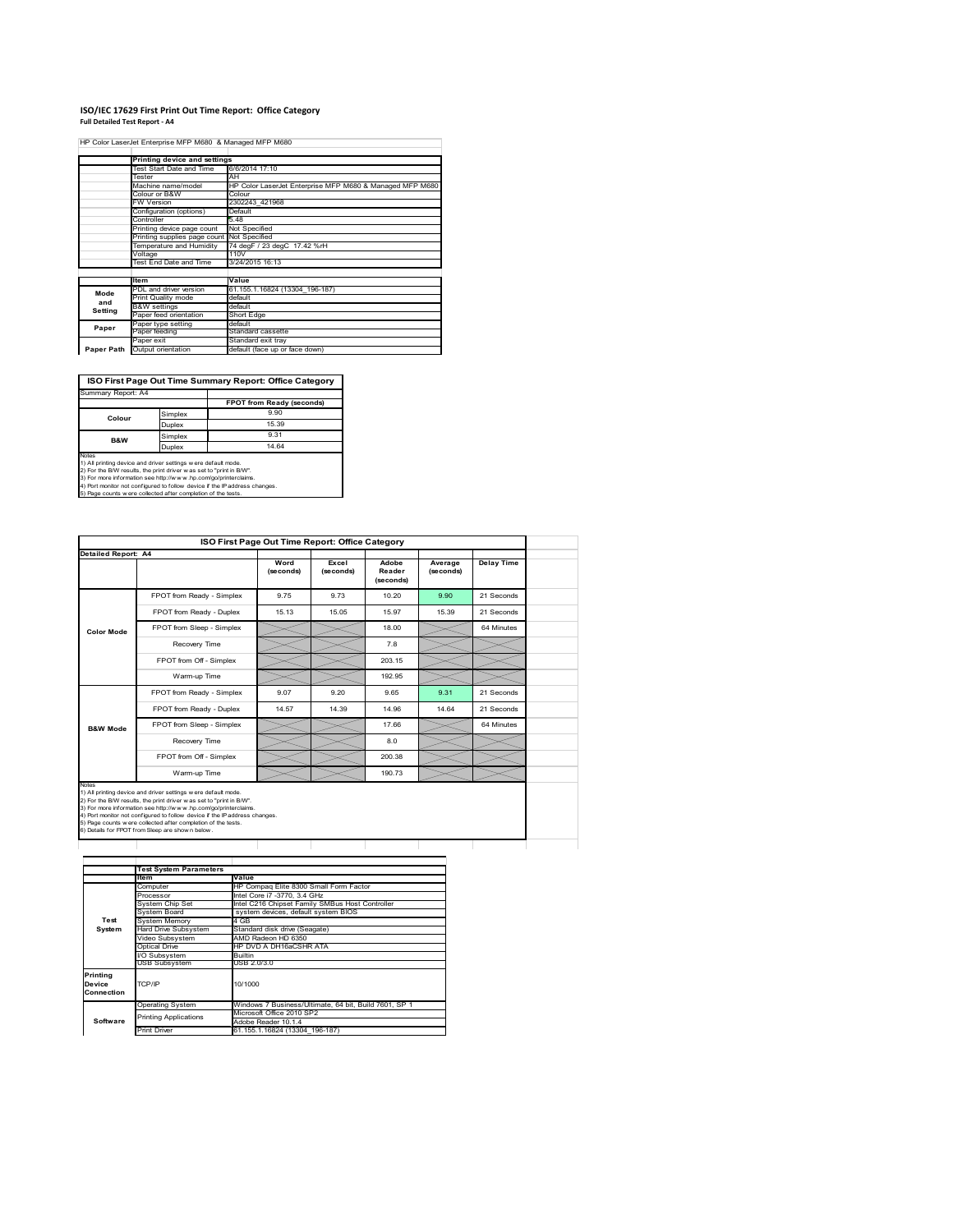# **ISO/IEC 17629 First Print Out Time Report: Office Category Full Detailed Test Report ‐ A4**

|            |                                            | HP Color LaserJet Enterprise MFP M680 & Managed MFP M680 |
|------------|--------------------------------------------|----------------------------------------------------------|
|            | Printing device and settings               |                                                          |
|            | Test Start Date and Time                   | 6/6/2014 17:10                                           |
|            | Tester                                     | AH                                                       |
|            | Machine name/model                         | HP Color LaserJet Enterprise MFP M680 & Managed MFP M680 |
|            | Colour or B&W                              | Colour                                                   |
|            | <b>FW Version</b>                          | 2302243 421968                                           |
|            | Configuration (options)                    | Default                                                  |
|            | Controller                                 | 548                                                      |
|            | Printing device page count                 | Not Specified                                            |
|            | Printing supplies page count Not Specified |                                                          |
|            | Temperature and Humidity                   | 74 degF / 23 degC 17.42 %rH                              |
|            | Voltage                                    | 110V                                                     |
|            | Test End Date and Time                     | 3/24/2015 16:13                                          |
|            |                                            |                                                          |
|            | ltem                                       | Value                                                    |
| Mode       | PDL and driver version                     | 61.155.1.16824 (13304 196-187)                           |
| and        | Print Quality mode                         | default                                                  |
| Setting    | <b>B&amp;W</b> settings                    | default                                                  |
|            | Paper feed orientation                     | Short Edge                                               |
| Paper      | Paper type setting                         | default                                                  |
|            | Paper feeding                              | Standard cassette                                        |
|            | Paper exit                                 | Standard exit tray                                       |
| Paper Path | Output orientation                         | default (face up or face down)                           |

**ISO First Page Out Time Summary Report: Office Category**

| Summary Report: A4 |         |                           |
|--------------------|---------|---------------------------|
|                    |         | FPOT from Ready (seconds) |
|                    | Simplex | 9.90                      |
| Colour             | Duplex  | 15 39                     |
| B&W                | Simplex | 9.31                      |
|                    | Duplex  | 14.64                     |

Notes<br>1) All printing device and driver settings were default mode.<br>2) For the BAV results, the print driver was set to "print in BAV".<br>3) For more information see http://www.hp.com/golprinterclaims.<br>4) Port monitor not co

| Detailed Report: A4 |                           |                   |                    |                              |                      |                   |
|---------------------|---------------------------|-------------------|--------------------|------------------------------|----------------------|-------------------|
|                     |                           | Word<br>(seconds) | Excel<br>(seconds) | Adobe<br>Reader<br>(seconds) | Average<br>(seconds) | <b>Delay Time</b> |
|                     | FPOT from Ready - Simplex | 9.75              | 9.73               | 10.20                        | 9.90                 | 21 Seconds        |
|                     | FPOT from Ready - Duplex  | 15.13             | 15.05              | 15.97                        | 15.39                | 21 Seconds        |
| <b>Color Mode</b>   | FPOT from Sleep - Simplex |                   |                    | 18.00                        |                      | 64 Minutes        |
|                     | Recovery Time             |                   |                    | 7.8                          |                      |                   |
|                     | FPOT from Off - Simplex   |                   |                    | 203.15                       |                      |                   |
|                     | Warm-up Time              |                   |                    | 192.95                       |                      |                   |
|                     | FPOT from Ready - Simplex | 9.07              | 9.20               | 9.65                         | 9.31                 | 21 Seconds        |
|                     | FPOT from Ready - Duplex  | 14.57             | 14 39              | 14.96                        | 14 64                | 21 Seconds        |
| <b>B&amp;W Mode</b> | FPOT from Sleep - Simplex |                   |                    | 17.66                        |                      | 64 Minutes        |
|                     | Recovery Time             |                   |                    | 8.0                          |                      |                   |
|                     | FPOT from Off - Simplex   |                   |                    | 200.38                       |                      |                   |
|                     | Warm-up Time              |                   |                    | 190.73                       |                      |                   |

|                                  | <b>Test System Parameters</b> |                                                       |  |  |  |  |
|----------------------------------|-------------------------------|-------------------------------------------------------|--|--|--|--|
|                                  | ltem                          | Value                                                 |  |  |  |  |
|                                  | Computer                      | HP Compaq Elite 8300 Small Form Factor                |  |  |  |  |
|                                  | Processor                     | Intel Core i7 -3770, 3.4 GHz                          |  |  |  |  |
|                                  | System Chip Set               | Intel C216 Chipset Family SMBus Host Controller       |  |  |  |  |
|                                  | System Board                  | system devices, default system BIOS                   |  |  |  |  |
| Test                             | System Memory                 | 4 GB                                                  |  |  |  |  |
| System                           | Hard Drive Subsystem          | Standard disk drive (Seagate)                         |  |  |  |  |
|                                  | Video Subsystem               | AMD Radeon HD 6350                                    |  |  |  |  |
|                                  | Optical Drive                 | HP DVD A DH16aCSHR ATA                                |  |  |  |  |
|                                  | I/O Subsystem                 | <b>Builtin</b>                                        |  |  |  |  |
|                                  | <b>USB Subsystem</b>          | USB 2.0/3.0                                           |  |  |  |  |
| Printina<br>Device<br>Connection | TCP/IP                        | 10/1000                                               |  |  |  |  |
|                                  | <b>Operating System</b>       | Windows 7 Business/Ultimate, 64 bit, Build 7601, SP 1 |  |  |  |  |
|                                  | <b>Printing Applications</b>  | Microsoft Office 2010 SP2                             |  |  |  |  |
| Software                         |                               | Adobe Reader 10.1.4                                   |  |  |  |  |
|                                  | <b>Print Driver</b>           | 61.155.1.16824 (13304 196-187)                        |  |  |  |  |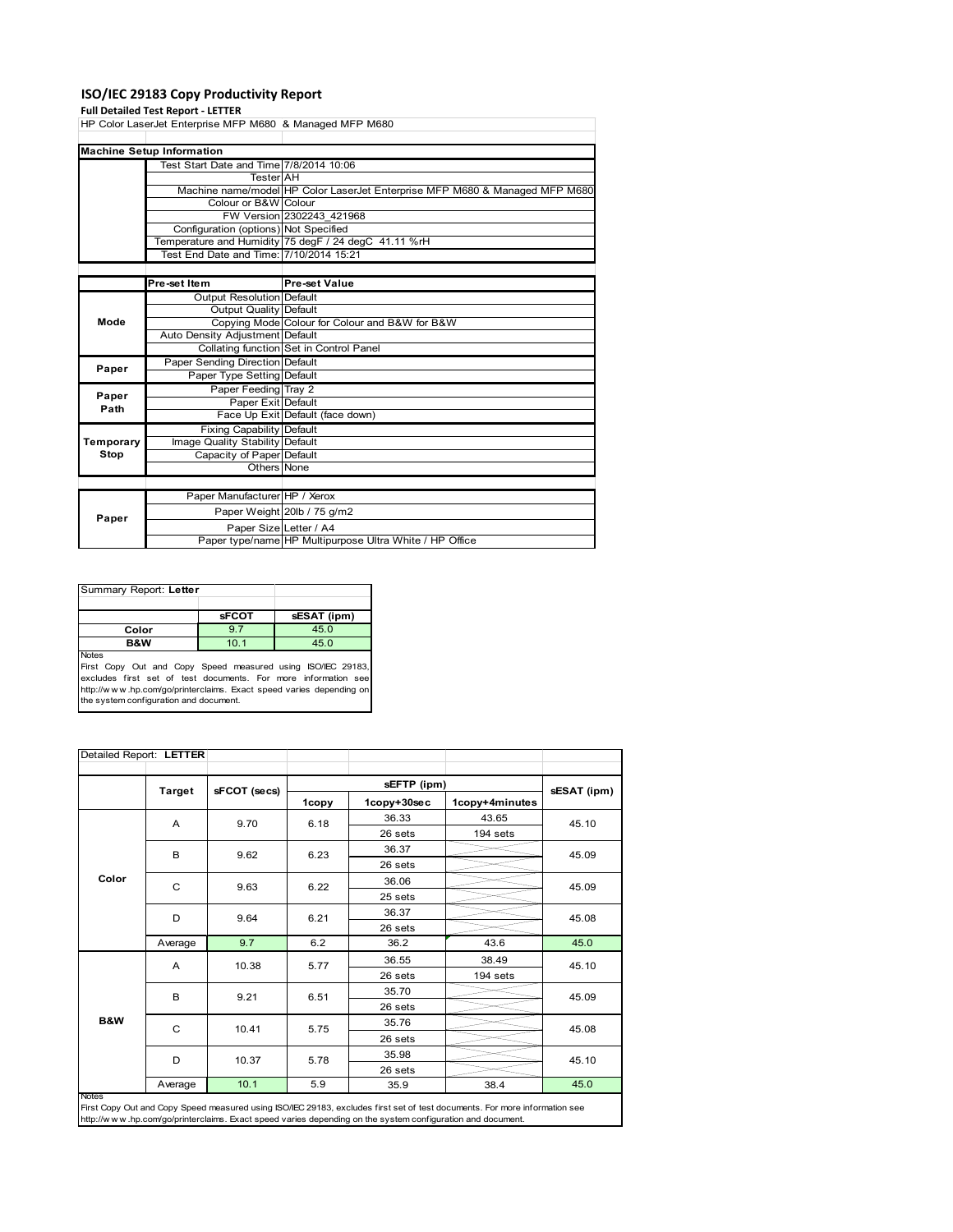#### **ISO/IEC 29183 Copy Productivity Report**

#### **Full Detailed Test Report ‐ LETTER**

|           | HP Color LaserJet Enterprise MFP M680 & Managed MFP M680 |                                                                             |  |  |  |
|-----------|----------------------------------------------------------|-----------------------------------------------------------------------------|--|--|--|
|           |                                                          |                                                                             |  |  |  |
|           | <b>Machine Setup Information</b>                         |                                                                             |  |  |  |
|           | Test Start Date and Time 7/8/2014 10:06                  |                                                                             |  |  |  |
|           | <b>Tester</b> AH                                         |                                                                             |  |  |  |
|           |                                                          | Machine name/model HP Color LaserJet Enterprise MFP M680 & Managed MFP M680 |  |  |  |
|           | Colour or B&W Colour                                     |                                                                             |  |  |  |
|           |                                                          | FW Version 2302243 421968                                                   |  |  |  |
|           | Configuration (options) Not Specified                    |                                                                             |  |  |  |
|           |                                                          | Temperature and Humidity 75 degF / 24 degC 41.11 %rH                        |  |  |  |
|           | Test End Date and Time: 7/10/2014 15:21                  |                                                                             |  |  |  |
|           |                                                          |                                                                             |  |  |  |
|           | Pre-set Item                                             | Pre-set Value                                                               |  |  |  |
|           | Output Resolution Default                                |                                                                             |  |  |  |
|           | Output Quality Default                                   |                                                                             |  |  |  |
| Mode      |                                                          | Copying Mode Colour for Colour and B&W for B&W                              |  |  |  |
|           | Auto Density Adjustment Default                          |                                                                             |  |  |  |
|           |                                                          | Collating function Set in Control Panel                                     |  |  |  |
| Paper     | Paper Sending Direction Default                          |                                                                             |  |  |  |
|           | Paper Type Setting Default                               |                                                                             |  |  |  |
| Paper     | Paper Feeding Tray 2                                     |                                                                             |  |  |  |
| Path      | Paper Exit Default                                       |                                                                             |  |  |  |
|           |                                                          | Face Up Exit Default (face down)                                            |  |  |  |
|           | Fixing Capability Default                                |                                                                             |  |  |  |
| Temporary | Image Quality Stability Default                          |                                                                             |  |  |  |
| Stop      | Capacity of Paper Default                                |                                                                             |  |  |  |
|           | Others None                                              |                                                                             |  |  |  |
|           |                                                          |                                                                             |  |  |  |
|           | Paper Manufacturer HP / Xerox                            |                                                                             |  |  |  |
| Paper     |                                                          | Paper Weight 20lb / 75 g/m2                                                 |  |  |  |
|           | Paper Size Letter / A4                                   |                                                                             |  |  |  |
|           |                                                          | Paper type/name HP Multipurpose Ultra White / HP Office                     |  |  |  |

| Summary Report: Letter                                                      |              |             |
|-----------------------------------------------------------------------------|--------------|-------------|
|                                                                             |              |             |
|                                                                             | <b>sFCOT</b> | sESAT (ipm) |
| Color                                                                       | 9.7          | 45.0        |
| <b>B&amp;W</b>                                                              | 10.1         | 45.0        |
| <b>Notes</b><br>First Copy Out and Copy Speed measured using ISO/IEC 29183, |              |             |

First Copy Out and Copy Speed measured using ISO/IEC 29183,<br>excludes first set of test documents. For more information see<br>http://www.hp.com/go/printerclaims. Exact speed varies depending on<br>the system.configuration and do

|       | Detailed Report: LETTER |              |       |             |                |             |  |
|-------|-------------------------|--------------|-------|-------------|----------------|-------------|--|
|       | <b>Target</b>           | sFCOT (secs) |       | sEFTP (ipm) |                | sESAT (ipm) |  |
|       |                         |              | 1copy | 1copy+30sec | 1copy+4minutes |             |  |
|       | A                       | 9.70         | 6.18  | 36.33       | 43.65          | 45.10       |  |
|       |                         |              |       | 26 sets     | 194 sets       |             |  |
|       | B                       | 9.62         | 6.23  | 36.37       |                | 45.09       |  |
|       |                         |              |       | 26 sets     |                |             |  |
| Color | C                       | 9.63         | 6.22  | 36.06       |                | 45.09       |  |
|       |                         |              |       | 25 sets     |                |             |  |
|       | D                       | 9.64         | 6.21  | 36.37       |                | 45.08       |  |
|       |                         |              |       | 26 sets     |                |             |  |
|       | Average                 | 9.7          | 6.2   | 36.2        | 43.6           | 45.0        |  |
|       | Α                       | 10.38        | 5.77  | 36.55       | 38.49          | 45.10       |  |
|       |                         |              |       | 26 sets     | 194 sets       |             |  |
|       | B                       | 9.21         | 6.51  | 35.70       |                | 45.09       |  |
|       |                         |              |       | 26 sets     |                |             |  |
| B&W   | C                       | 10.41        | 5.75  | 35.76       |                | 45.08       |  |
|       |                         |              |       | 26 sets     |                |             |  |
|       | D                       | 10.37        | 5.78  | 35.98       |                | 45.10       |  |
|       |                         |              |       | 26 sets     |                |             |  |
|       | Average                 | 10.1         | 5.9   | 35.9        | 38.4           | 45.0        |  |

First Copy Out and Copy Speed measured using ISO/IEC 29183, excludes first set of test documents. For more information see<br>http://w w w .hp.com/go/printerclaims. Exact speed varies depending on the system configuration and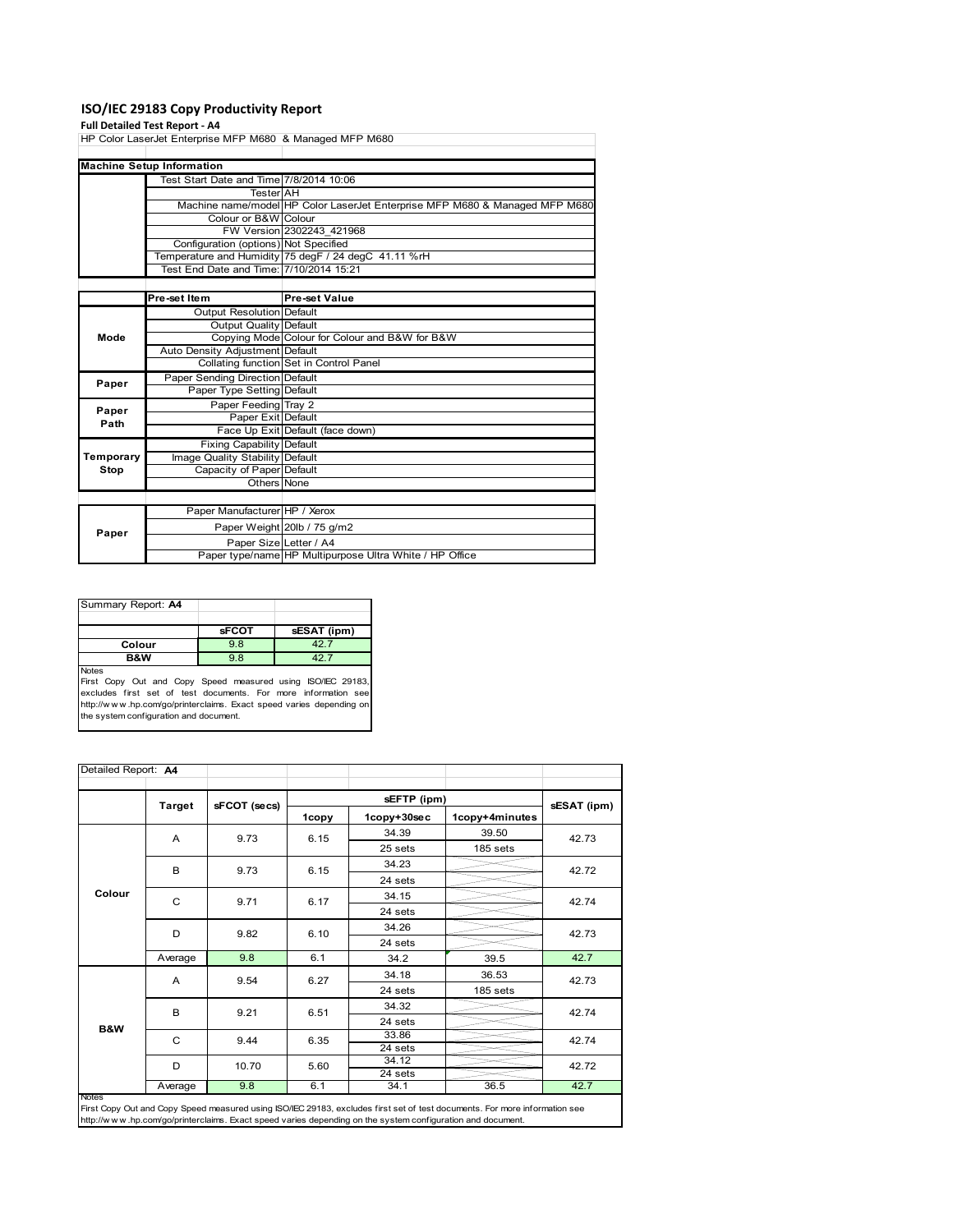#### **ISO/IEC 29183 Copy Productivity Report**

#### **Full Detailed Test Report ‐ A4**

|           | HP Color LaserJet Enterprise MFP M680 & Managed MFP M680 |                                                                             |  |  |  |
|-----------|----------------------------------------------------------|-----------------------------------------------------------------------------|--|--|--|
|           |                                                          |                                                                             |  |  |  |
|           | <b>Machine Setup Information</b>                         |                                                                             |  |  |  |
|           | Test Start Date and Time 7/8/2014 10:06                  |                                                                             |  |  |  |
|           | <b>Tester</b> AH                                         |                                                                             |  |  |  |
|           |                                                          | Machine name/model HP Color LaserJet Enterprise MFP M680 & Managed MFP M680 |  |  |  |
|           | Colour or B&W Colour                                     |                                                                             |  |  |  |
|           |                                                          | FW Version 2302243 421968                                                   |  |  |  |
|           | Configuration (options) Not Specified                    |                                                                             |  |  |  |
|           |                                                          | Temperature and Humidity 75 degF / 24 degC 41.11 %rH                        |  |  |  |
|           | Test End Date and Time: 7/10/2014 15:21                  |                                                                             |  |  |  |
|           |                                                          |                                                                             |  |  |  |
|           | Pre-set Item                                             | <b>Pre-set Value</b>                                                        |  |  |  |
|           | <b>Output Resolution Default</b>                         |                                                                             |  |  |  |
|           | Output Quality Default                                   |                                                                             |  |  |  |
| Mode      |                                                          | Copying Mode Colour for Colour and B&W for B&W                              |  |  |  |
|           | Auto Density Adjustment Default                          |                                                                             |  |  |  |
|           |                                                          | Collating function Set in Control Panel                                     |  |  |  |
| Paper     | Paper Sending Direction Default                          |                                                                             |  |  |  |
|           | Paper Type Setting Default                               |                                                                             |  |  |  |
| Paper     | Paper Feeding Tray 2                                     |                                                                             |  |  |  |
| Path      | Paper Exit Default                                       |                                                                             |  |  |  |
|           |                                                          | Face Up Exit Default (face down)                                            |  |  |  |
|           | Fixing Capability Default                                |                                                                             |  |  |  |
| Temporary | Image Quality Stability Default                          |                                                                             |  |  |  |
| Stop      | Capacity of Paper Default                                |                                                                             |  |  |  |
|           | Others None                                              |                                                                             |  |  |  |
|           |                                                          |                                                                             |  |  |  |
|           | Paper Manufacturer HP / Xerox                            |                                                                             |  |  |  |
|           |                                                          | Paper Weight 20lb / 75 g/m2                                                 |  |  |  |
| Paper     | Paper Size Letter / A4                                   |                                                                             |  |  |  |
|           |                                                          | Paper type/name HP Multipurpose Ultra White / HP Office                     |  |  |  |

### Summary Report: **A4 sFCOT sESAT** (ipm)<br>9.8 42.7 **Colour 9.8 42.7**<br>**B&W 9.8 42.7 B&W**

Notes

First Copy Out and Copy Speed measured using ISO/IEC 29183,<br>excludes first set of test documents. For more information see<br>http://www.hp.com/go/printerclaims. Exact speed varies depending on<br>the system.configuration and do

| Detailed Report: A4 |               |              |       |             |                |             |  |
|---------------------|---------------|--------------|-------|-------------|----------------|-------------|--|
|                     |               |              |       |             |                |             |  |
|                     | <b>Target</b> | sFCOT (secs) | 1copy | 1copy+30sec | 1copy+4minutes | sESAT (ipm) |  |
|                     | A             | 9.73         | 6.15  | 34.39       | 39.50          | 42.73       |  |
|                     |               |              |       | 25 sets     | 185 sets       |             |  |
|                     | B             | 9.73         | 6.15  | 34.23       |                | 42.72       |  |
|                     |               |              |       | 24 sets     |                |             |  |
| Colour              | C             | 9.71         | 6.17  | 34.15       |                | 42.74       |  |
|                     |               |              |       | 24 sets     |                |             |  |
|                     | D             | 9.82         | 6.10  | 34.26       |                | 42.73       |  |
|                     |               |              |       | 24 sets     |                |             |  |
|                     | Average       | 9.8          | 6.1   | 34.2        | 39.5           | 42.7        |  |
|                     | A             | 9.54         | 6.27  | 34.18       | 36.53          | 42.73       |  |
|                     |               |              |       | 24 sets     | 185 sets       |             |  |
|                     | B             | 9.21         | 6.51  | 34.32       |                | 42.74       |  |
|                     |               |              |       | 24 sets     |                |             |  |
| <b>B&amp;W</b>      | C             | 9.44         | 6.35  | 33.86       |                | 42.74       |  |
|                     |               |              |       | 24 sets     |                |             |  |
|                     | D             | 10.70        | 5.60  | 34.12       |                | 42.72       |  |
|                     |               |              |       | 24 sets     |                |             |  |
|                     | Average       | 9.8          | 6.1   | 34.1        | 36.5           | 42.7        |  |

Notes<br>First Copy Out and Copy Speed measured using ISO/IEC 29183, excludes first set of test documents. For more information see<br>http://www.hp.com/go/printerclaims. Exact speed varies depending on the system configuration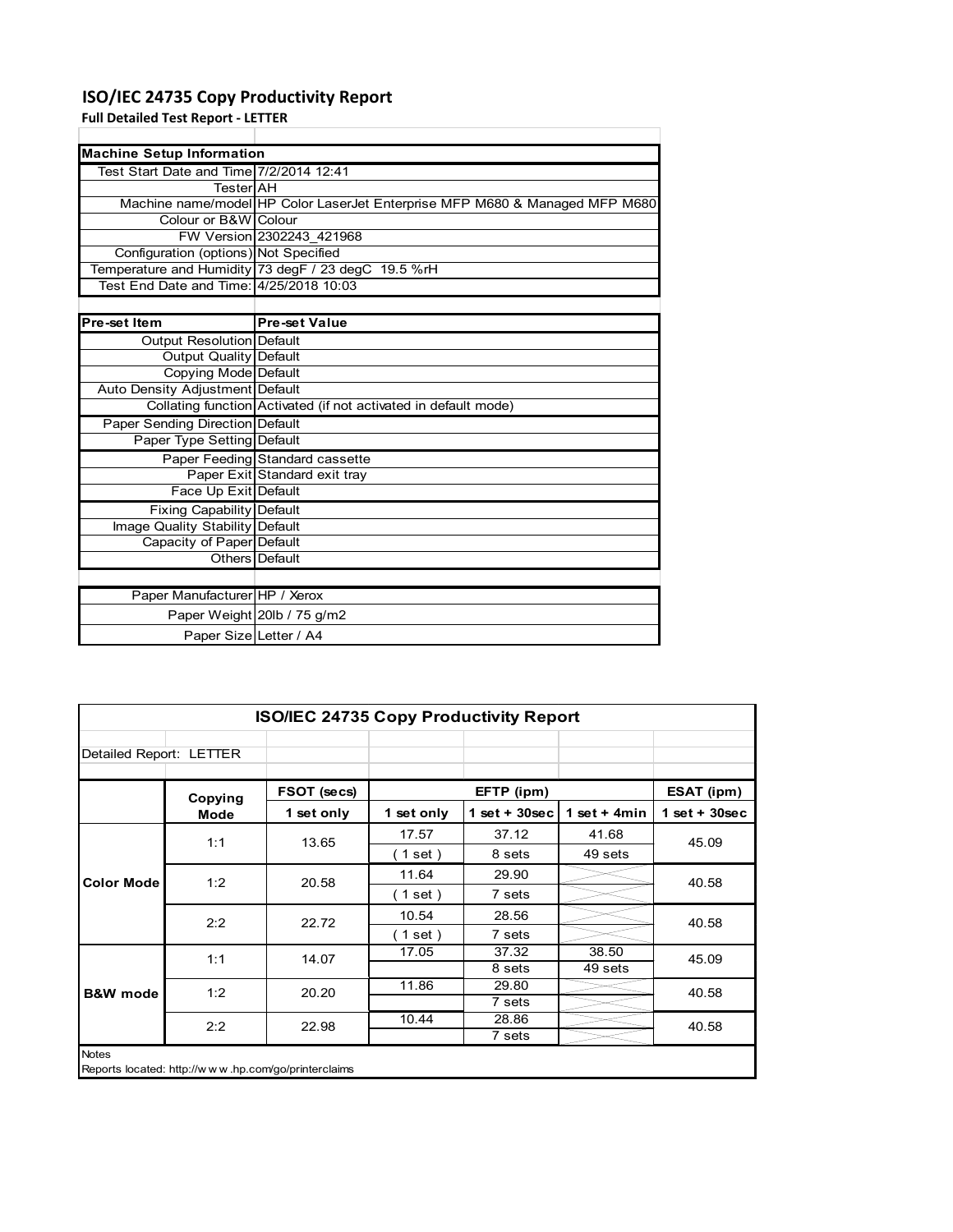## **ISO/IEC 24735 Copy Productivity Report**

**Full Detailed Test Report ‐ LETTER**

| <b>Machine Setup Information</b>        |                                                                             |
|-----------------------------------------|-----------------------------------------------------------------------------|
| Test Start Date and Time 7/2/2014 12:41 |                                                                             |
| TesterlAH                               |                                                                             |
|                                         | Machine name/model HP Color LaserJet Enterprise MFP M680 & Managed MFP M680 |
| Colour or B&W Colour                    |                                                                             |
|                                         | FW Version 2302243 421968                                                   |
| Configuration (options) Not Specified   |                                                                             |
|                                         | Temperature and Humidity 73 degF / 23 degC 19.5 %rH                         |
| Test End Date and Time: 4/25/2018 10:03 |                                                                             |
|                                         |                                                                             |
| Pre-set Item                            | <b>Pre-set Value</b>                                                        |
|                                         |                                                                             |
| Output Resolution Default               |                                                                             |
| Output Quality Default                  |                                                                             |
| Copying Mode Default                    |                                                                             |
| Auto Density Adjustment Default         |                                                                             |
|                                         | Collating function Activated (if not activated in default mode)             |
| Paper Sending Direction Default         |                                                                             |
| Paper Type Setting Default              |                                                                             |
|                                         | Paper Feeding Standard cassette                                             |
|                                         | Paper Exit Standard exit tray                                               |
| Face Up Exit Default                    |                                                                             |

|                                 | Conating iunction Activated (ii not activated in delault mode) |
|---------------------------------|----------------------------------------------------------------|
| Paper Sending Direction Default |                                                                |
| Paper Type Setting Default      |                                                                |
|                                 | Paper Feeding Standard cassette                                |
|                                 | Paper Exit Standard exit tray                                  |
| Face Up Exit Default            |                                                                |
| Fixing Capability Default       |                                                                |
| Image Quality Stability Default |                                                                |
| Capacity of Paper Default       |                                                                |
|                                 | Others Default                                                 |
|                                 |                                                                |
| Paper Manufacturer HP / Xerox   |                                                                |
|                                 | Paper Weight 20lb / 75 g/m2                                    |
|                                 | Paper Size Letter / A4                                         |
|                                 |                                                                |

| <b>ISO/IEC 24735 Copy Productivity Report</b> |                                                     |             |            |                 |                |                 |  |
|-----------------------------------------------|-----------------------------------------------------|-------------|------------|-----------------|----------------|-----------------|--|
| Detailed Report: LETTER                       |                                                     |             |            |                 |                |                 |  |
|                                               | Copying                                             | FSOT (secs) |            | EFTP (ipm)      |                | ESAT (ipm)      |  |
|                                               | Mode                                                | 1 set only  | 1 set only | $1$ set + 30sec | 1 set $+$ 4min | $1$ set + 30sec |  |
|                                               | 1:1                                                 | 13.65       | 17.57      | 37.12           | 41.68          | 45.09           |  |
| <b>Color Mode</b>                             |                                                     |             | $1$ set)   | 8 sets          | 49 sets        |                 |  |
|                                               | 1:2                                                 | 20.58       | 11.64      | 29.90           |                | 40.58           |  |
|                                               |                                                     |             | (1 set)    | 7 sets          |                |                 |  |
|                                               | 2:2                                                 | 22.72       | 10.54      | 28.56           |                | 40.58           |  |
|                                               |                                                     |             | (1 set)    | 7 sets          |                |                 |  |
|                                               | 1:1                                                 | 14.07       | 17.05      | 37.32           | 38.50          | 45.09           |  |
|                                               |                                                     |             |            | 8 sets          | 49 sets        |                 |  |
| <b>B&amp;W</b> mode                           | 1:2                                                 | 20.20       | 11.86      | 29.80           |                | 40.58           |  |
|                                               |                                                     |             |            | 7 sets          |                |                 |  |
|                                               | 2:2                                                 | 22.98       | 10.44      | 28.86           |                | 40.58           |  |
|                                               |                                                     |             |            | 7 sets          |                |                 |  |
| <b>Notes</b>                                  | Reports located: http://www.hp.com/go/printerclaims |             |            |                 |                |                 |  |